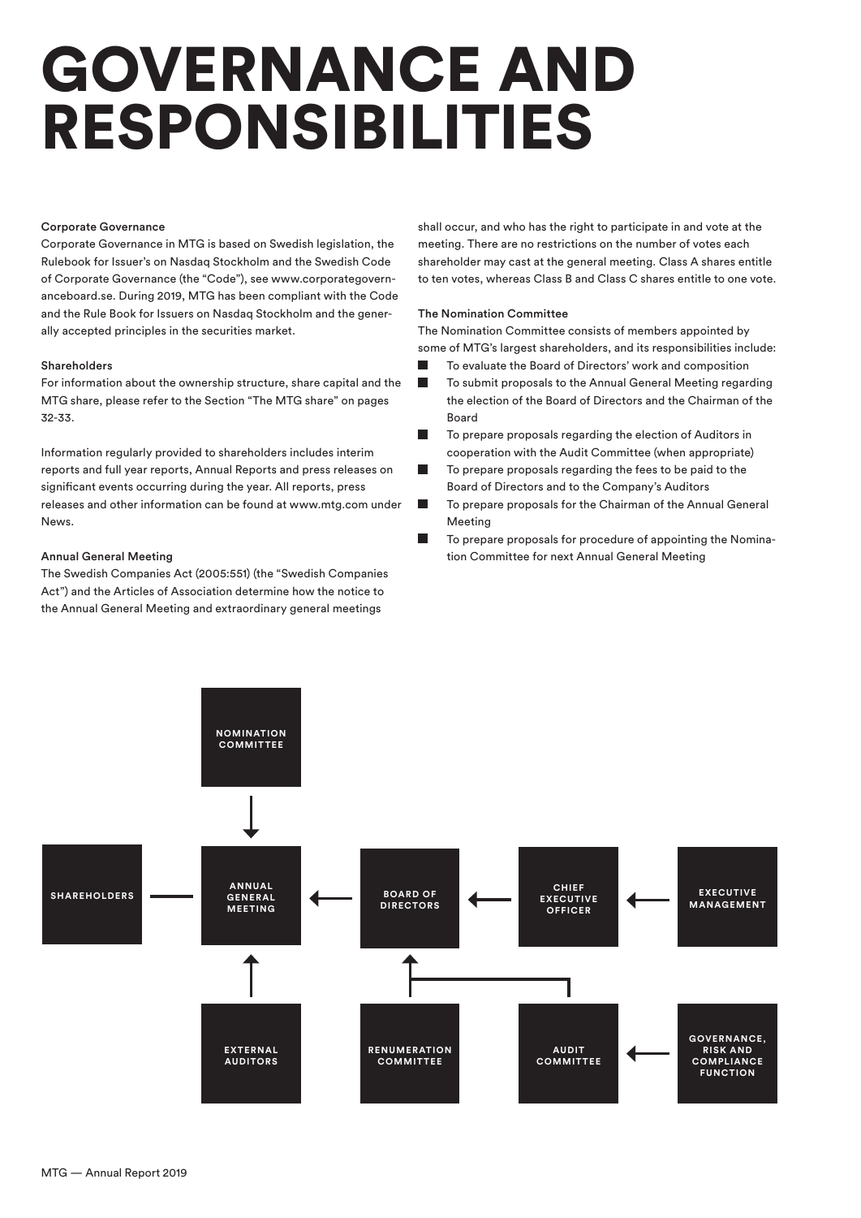# GOVERNANCE AND RESPONSIBILITIES

## Corporate Governance

Corporate Governance in MTG is based on Swedish legislation, the Rulebook for Issuer's on Nasdaq Stockholm and the Swedish Code of Corporate Governance (the "Code"), see www.corporategovernanceboard.se. During 2019, MTG has been compliant with the Code and the Rule Book for Issuers on Nasdaq Stockholm and the generally accepted principles in the securities market.

# **Shareholders**

For information about the ownership structure, share capital and the MTG share, please refer to the Section "The MTG share" on pages 32-33.

Information regularly provided to shareholders includes interim reports and full year reports, Annual Reports and press releases on significant events occurring during the year. All reports, press releases and other information can be found at www.mtg.com under **News** 

# Annual General Meeting

The Swedish Companies Act (2005:551) (the "Swedish Companies Act") and the Articles of Association determine how the notice to the Annual General Meeting and extraordinary general meetings

shall occur, and who has the right to participate in and vote at the meeting. There are no restrictions on the number of votes each shareholder may cast at the general meeting. Class A shares entitle to ten votes, whereas Class B and Class C shares entitle to one vote.

# The Nomination Committee

The Nomination Committee consists of members appointed by some of MTG's largest shareholders, and its responsibilities include:

- To evaluate the Board of Directors' work and composition
- To submit proposals to the Annual General Meeting regarding the election of the Board of Directors and the Chairman of the Board
- $\blacksquare$  To prepare proposals regarding the election of Auditors in cooperation with the Audit Committee (when appropriate)
- $\blacksquare$  To prepare proposals regarding the fees to be paid to the Board of Directors and to the Company's Auditors
- To prepare proposals for the Chairman of the Annual General Meeting
- **To prepare proposals for procedure of appointing the Nomina**tion Committee for next Annual General Meeting

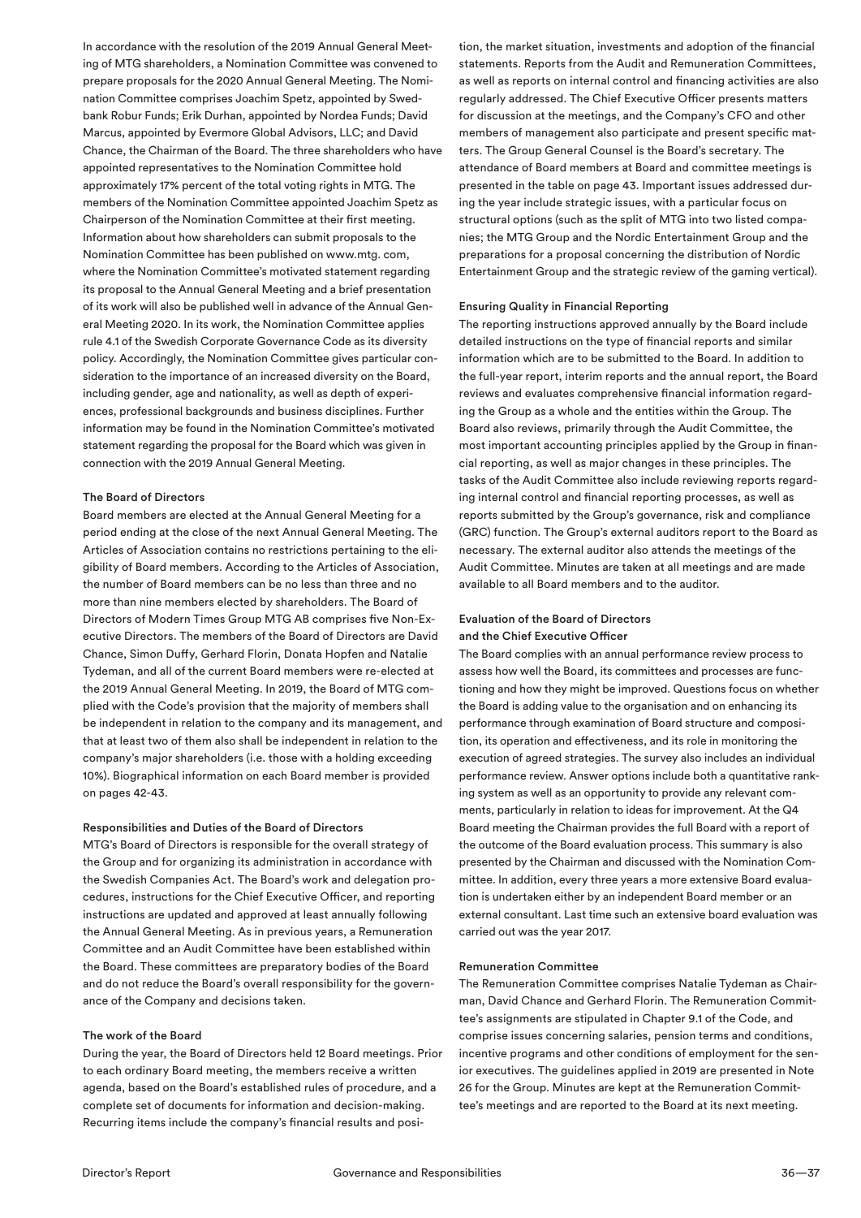In accordance with the resolution of the 2019 Annual General Meeting of MTG shareholders, a Nomination Committee was convened to prepare proposals for the 2020 Annual General Meeting. The Nomination Committee comprises Joachim Spetz, appointed by Swedbank Robur Funds; Erik Durhan, appointed by Nordea Funds; David Marcus, appointed by Evermore Global Advisors, LLC; and David Chance, the Chairman of the Board. The three shareholders who have appointed representatives to the Nomination Committee hold approximately 17% percent of the total voting rights in MTG. The members of the Nomination Committee appointed Joachim Spetz as Chairperson of the Nomination Committee at their first meeting. Information about how shareholders can submit proposals to the Nomination Committee has been published on www.mtg. com, where the Nomination Committee's motivated statement regarding its proposal to the Annual General Meeting and a brief presentation of its work will also be published well in advance of the Annual General Meeting 2020. In its work, the Nomination Committee applies rule 4.1 of the Swedish Corporate Governance Code as its diversity policy. Accordingly, the Nomination Committee gives particular consideration to the importance of an increased diversity on the Board, including gender, age and nationality, as well as depth of experiences, professional backgrounds and business disciplines. Further information may be found in the Nomination Committee's motivated statement regarding the proposal for the Board which was given in connection with the 2019 Annual General Meeting.

## The Board of Directors

Board members are elected at the Annual General Meeting for a period ending at the close of the next Annual General Meeting. The Articles of Association contains no restrictions pertaining to the eligibility of Board members. According to the Articles of Association, the number of Board members can be no less than three and no more than nine members elected by shareholders. The Board of Directors of Modern Times Group MTG AB comprises five Non-Executive Directors. The members of the Board of Directors are David Chance, Simon Duffy, Gerhard Florin, Donata Hopfen and Natalie Tydeman, and all of the current Board members were re-elected at the 2019 Annual General Meeting. In 2019, the Board of MTG complied with the Code's provision that the majority of members shall be independent in relation to the company and its management, and that at least two of them also shall be independent in relation to the company's major shareholders (i.e. those with a holding exceeding 10%). Biographical information on each Board member is provided on pages 42-43.

## Responsibilities and Duties of the Board of Directors

MTG's Board of Directors is responsible for the overall strategy of the Group and for organizing its administration in accordance with the Swedish Companies Act. The Board's work and delegation procedures, instructions for the Chief Executive Officer, and reporting instructions are updated and approved at least annually following the Annual General Meeting. As in previous years, a Remuneration Committee and an Audit Committee have been established within the Board. These committees are preparatory bodies of the Board and do not reduce the Board's overall responsibility for the governance of the Company and decisions taken.

# The work of the Board

During the year, the Board of Directors held 12 Board meetings. Prior to each ordinary Board meeting, the members receive a written agenda, based on the Board's established rules of procedure, and a complete set of documents for information and decision-making. Recurring items include the company's financial results and position, the market situation, investments and adoption of the financial statements. Reports from the Audit and Remuneration Committees, as well as reports on internal control and financing activities are also regularly addressed. The Chief Executive Officer presents matters for discussion at the meetings, and the Company's CFO and other members of management also participate and present specific matters. The Group General Counsel is the Board's secretary. The attendance of Board members at Board and committee meetings is presented in the table on page 43. Important issues addressed during the year include strategic issues, with a particular focus on structural options (such as the split of MTG into two listed companies; the MTG Group and the Nordic Entertainment Group and the preparations for a proposal concerning the distribution of Nordic Entertainment Group and the strategic review of the gaming vertical).

#### Ensuring Quality in Financial Reporting

The reporting instructions approved annually by the Board include detailed instructions on the type of financial reports and similar information which are to be submitted to the Board. In addition to the full-year report, interim reports and the annual report, the Board reviews and evaluates comprehensive financial information regarding the Group as a whole and the entities within the Group. The Board also reviews, primarily through the Audit Committee, the most important accounting principles applied by the Group in financial reporting, as well as major changes in these principles. The tasks of the Audit Committee also include reviewing reports regarding internal control and financial reporting processes, as well as reports submitted by the Group's governance, risk and compliance (GRC) function. The Group's external auditors report to the Board as necessary. The external auditor also attends the meetings of the Audit Committee. Minutes are taken at all meetings and are made available to all Board members and to the auditor.

# Evaluation of the Board of Directors and the Chief Executive Officer

The Board complies with an annual performance review process to assess how well the Board, its committees and processes are functioning and how they might be improved. Questions focus on whether the Board is adding value to the organisation and on enhancing its performance through examination of Board structure and composition, its operation and effectiveness, and its role in monitoring the execution of agreed strategies. The survey also includes an individual performance review. Answer options include both a quantitative ranking system as well as an opportunity to provide any relevant comments, particularly in relation to ideas for improvement. At the Q4 Board meeting the Chairman provides the full Board with a report of the outcome of the Board evaluation process. This summary is also presented by the Chairman and discussed with the Nomination Committee. In addition, every three years a more extensive Board evaluation is undertaken either by an independent Board member or an external consultant. Last time such an extensive board evaluation was carried out was the year 2017.

## Remuneration Committee

The Remuneration Committee comprises Natalie Tydeman as Chairman, David Chance and Gerhard Florin. The Remuneration Committee's assignments are stipulated in Chapter 9.1 of the Code, and comprise issues concerning salaries, pension terms and conditions, incentive programs and other conditions of employment for the senior executives. The guidelines applied in 2019 are presented in Note 26 for the Group. Minutes are kept at the Remuneration Committee's meetings and are reported to the Board at its next meeting.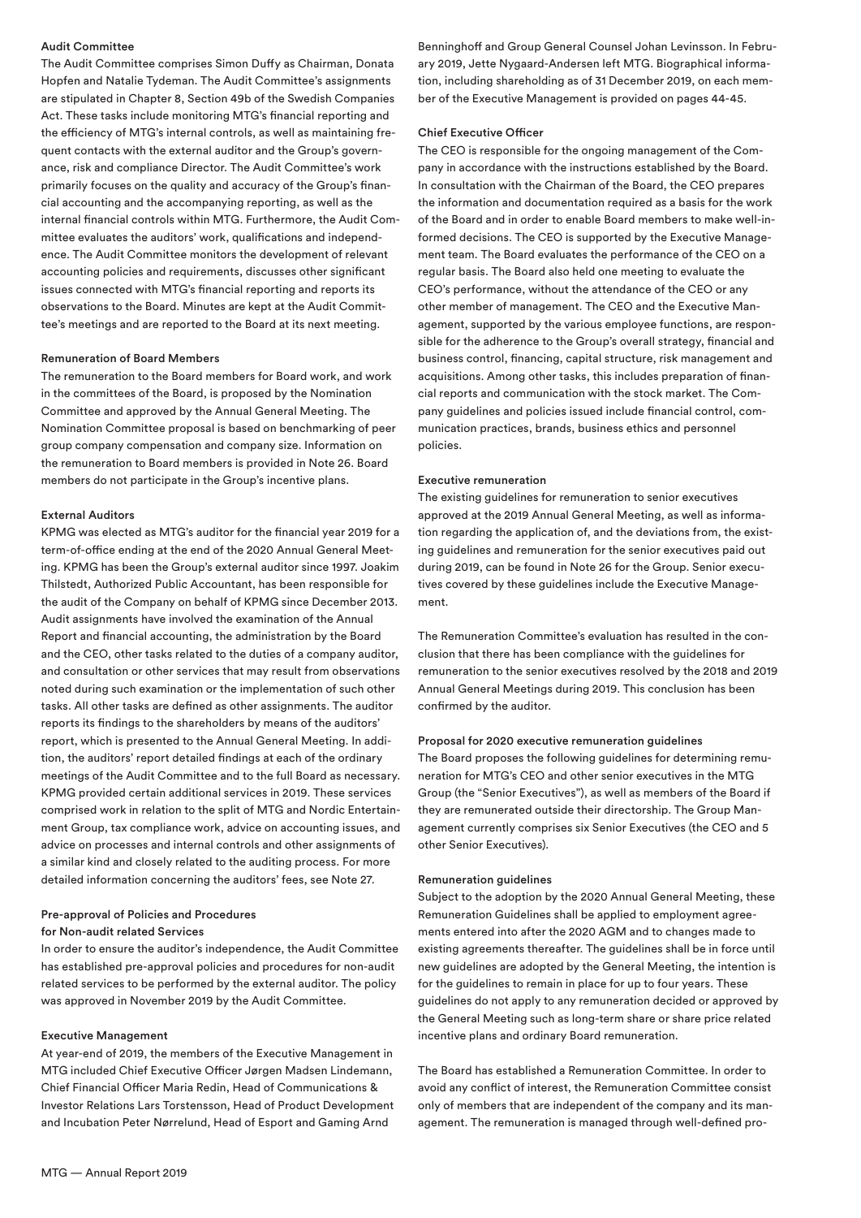# Audit Committee

The Audit Committee comprises Simon Duffy as Chairman, Donata Hopfen and Natalie Tydeman. The Audit Committee's assignments are stipulated in Chapter 8, Section 49b of the Swedish Companies Act. These tasks include monitoring MTG's financial reporting and the efficiency of MTG's internal controls, as well as maintaining frequent contacts with the external auditor and the Group's governance, risk and compliance Director. The Audit Committee's work primarily focuses on the quality and accuracy of the Group's financial accounting and the accompanying reporting, as well as the internal financial controls within MTG. Furthermore, the Audit Committee evaluates the auditors' work, qualifications and independence. The Audit Committee monitors the development of relevant accounting policies and requirements, discusses other significant issues connected with MTG's financial reporting and reports its observations to the Board. Minutes are kept at the Audit Committee's meetings and are reported to the Board at its next meeting.

## Remuneration of Board Members

The remuneration to the Board members for Board work, and work in the committees of the Board, is proposed by the Nomination Committee and approved by the Annual General Meeting. The Nomination Committee proposal is based on benchmarking of peer group company compensation and company size. Information on the remuneration to Board members is provided in Note 26. Board members do not participate in the Group's incentive plans.

#### External Auditors

KPMG was elected as MTG's auditor for the financial year 2019 for a term-of-office ending at the end of the 2020 Annual General Meeting. KPMG has been the Group's external auditor since 1997. Joakim Thilstedt, Authorized Public Accountant, has been responsible for the audit of the Company on behalf of KPMG since December 2013. Audit assignments have involved the examination of the Annual Report and financial accounting, the administration by the Board and the CEO, other tasks related to the duties of a company auditor, and consultation or other services that may result from observations noted during such examination or the implementation of such other tasks. All other tasks are defined as other assignments. The auditor reports its findings to the shareholders by means of the auditors' report, which is presented to the Annual General Meeting. In addition, the auditors' report detailed findings at each of the ordinary meetings of the Audit Committee and to the full Board as necessary. KPMG provided certain additional services in 2019. These services comprised work in relation to the split of MTG and Nordic Entertainment Group, tax compliance work, advice on accounting issues, and advice on processes and internal controls and other assignments of a similar kind and closely related to the auditing process. For more detailed information concerning the auditors' fees, see Note 27.

# Pre-approval of Policies and Procedures

#### for Non-audit related Services

In order to ensure the auditor's independence, the Audit Committee has established pre-approval policies and procedures for non-audit related services to be performed by the external auditor. The policy was approved in November 2019 by the Audit Committee.

# Executive Management

At year-end of 2019, the members of the Executive Management in MTG included Chief Executive Officer Jørgen Madsen Lindemann, Chief Financial Officer Maria Redin, Head of Communications & Investor Relations Lars Torstensson, Head of Product Development and Incubation Peter Nørrelund, Head of Esport and Gaming Arnd

Benninghoff and Group General Counsel Johan Levinsson. In February 2019, Jette Nygaard-Andersen left MTG. Biographical information, including shareholding as of 31 December 2019, on each member of the Executive Management is provided on pages 44-45.

#### Chief Executive Officer

The CEO is responsible for the ongoing management of the Company in accordance with the instructions established by the Board. In consultation with the Chairman of the Board, the CEO prepares the information and documentation required as a basis for the work of the Board and in order to enable Board members to make well-informed decisions. The CEO is supported by the Executive Management team. The Board evaluates the performance of the CEO on a regular basis. The Board also held one meeting to evaluate the CEO's performance, without the attendance of the CEO or any other member of management. The CEO and the Executive Management, supported by the various employee functions, are responsible for the adherence to the Group's overall strategy, financial and business control, financing, capital structure, risk management and acquisitions. Among other tasks, this includes preparation of financial reports and communication with the stock market. The Company guidelines and policies issued include financial control, communication practices, brands, business ethics and personnel policies.

## Executive remuneration

The existing guidelines for remuneration to senior executives approved at the 2019 Annual General Meeting, as well as information regarding the application of, and the deviations from, the existing guidelines and remuneration for the senior executives paid out during 2019, can be found in Note 26 for the Group. Senior executives covered by these guidelines include the Executive Management.

The Remuneration Committee's evaluation has resulted in the conclusion that there has been compliance with the guidelines for remuneration to the senior executives resolved by the 2018 and 2019 Annual General Meetings during 2019. This conclusion has been confirmed by the auditor.

# Proposal for 2020 executive remuneration guidelines

The Board proposes the following guidelines for determining remuneration for MTG's CEO and other senior executives in the MTG Group (the "Senior Executives"), as well as members of the Board if they are remunerated outside their directorship. The Group Management currently comprises six Senior Executives (the CEO and 5 other Senior Executives).

#### Remuneration guidelines

Subject to the adoption by the 2020 Annual General Meeting, these Remuneration Guidelines shall be applied to employment agreements entered into after the 2020 AGM and to changes made to existing agreements thereafter. The guidelines shall be in force until new guidelines are adopted by the General Meeting, the intention is for the guidelines to remain in place for up to four years. These guidelines do not apply to any remuneration decided or approved by the General Meeting such as long-term share or share price related incentive plans and ordinary Board remuneration.

The Board has established a Remuneration Committee. In order to avoid any conflict of interest, the Remuneration Committee consist only of members that are independent of the company and its management. The remuneration is managed through well-defined pro-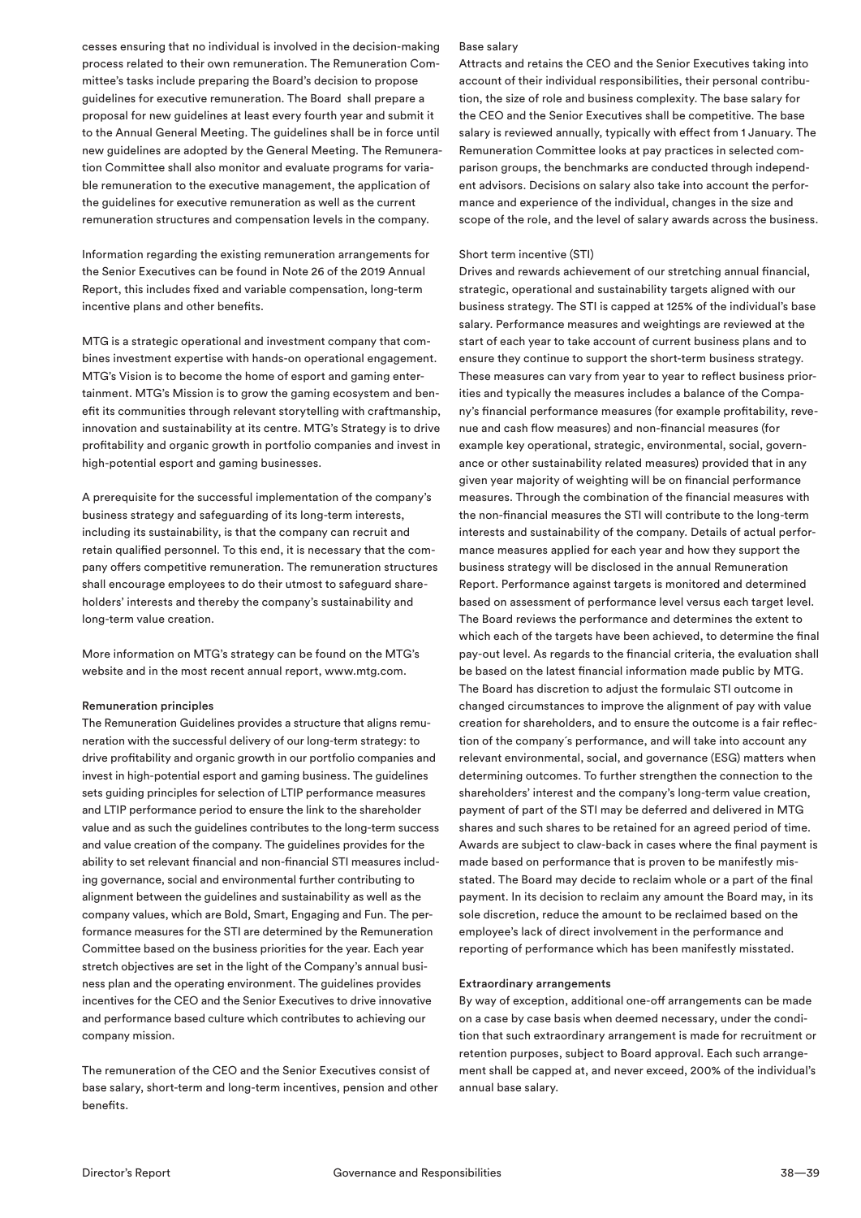cesses ensuring that no individual is involved in the decision-making process related to their own remuneration. The Remuneration Committee's tasks include preparing the Board's decision to propose guidelines for executive remuneration. The Board shall prepare a proposal for new guidelines at least every fourth year and submit it to the Annual General Meeting. The guidelines shall be in force until new guidelines are adopted by the General Meeting. The Remuneration Committee shall also monitor and evaluate programs for variable remuneration to the executive management, the application of the guidelines for executive remuneration as well as the current remuneration structures and compensation levels in the company.

Information regarding the existing remuneration arrangements for the Senior Executives can be found in Note 26 of the 2019 Annual Report, this includes fixed and variable compensation, long-term incentive plans and other benefits.

MTG is a strategic operational and investment company that combines investment expertise with hands-on operational engagement. MTG's Vision is to become the home of esport and gaming entertainment. MTG's Mission is to grow the gaming ecosystem and benefit its communities through relevant storytelling with craftmanship, innovation and sustainability at its centre. MTG's Strategy is to drive profitability and organic growth in portfolio companies and invest in high-potential esport and gaming businesses.

A prerequisite for the successful implementation of the company's business strategy and safeguarding of its long-term interests, including its sustainability, is that the company can recruit and retain qualified personnel. To this end, it is necessary that the company offers competitive remuneration. The remuneration structures shall encourage employees to do their utmost to safeguard shareholders' interests and thereby the company's sustainability and long-term value creation.

More information on MTG's strategy can be found on the MTG's website and in the most recent annual report, www.mtg.com.

## Remuneration principles

The Remuneration Guidelines provides a structure that aligns remuneration with the successful delivery of our long-term strategy: to drive profitability and organic growth in our portfolio companies and invest in high-potential esport and gaming business. The guidelines sets guiding principles for selection of LTIP performance measures and LTIP performance period to ensure the link to the shareholder value and as such the guidelines contributes to the long-term success and value creation of the company. The guidelines provides for the ability to set relevant financial and non-financial STI measures including governance, social and environmental further contributing to alignment between the guidelines and sustainability as well as the company values, which are Bold, Smart, Engaging and Fun. The performance measures for the STI are determined by the Remuneration Committee based on the business priorities for the year. Each year stretch objectives are set in the light of the Company's annual business plan and the operating environment. The guidelines provides incentives for the CEO and the Senior Executives to drive innovative and performance based culture which contributes to achieving our company mission.

The remuneration of the CEO and the Senior Executives consist of base salary, short-term and long-term incentives, pension and other benefits.

## Base salary

Attracts and retains the CEO and the Senior Executives taking into account of their individual responsibilities, their personal contribution, the size of role and business complexity. The base salary for the CEO and the Senior Executives shall be competitive. The base salary is reviewed annually, typically with effect from 1 January. The Remuneration Committee looks at pay practices in selected comparison groups, the benchmarks are conducted through independent advisors. Decisions on salary also take into account the performance and experience of the individual, changes in the size and scope of the role, and the level of salary awards across the business.

#### Short term incentive (STI)

Drives and rewards achievement of our stretching annual financial, strategic, operational and sustainability targets aligned with our business strategy. The STI is capped at 125% of the individual's base salary. Performance measures and weightings are reviewed at the start of each year to take account of current business plans and to ensure they continue to support the short-term business strategy. These measures can vary from year to year to reflect business priorities and typically the measures includes a balance of the Company's financial performance measures (for example profitability, revenue and cash flow measures) and non-financial measures (for example key operational, strategic, environmental, social, governance or other sustainability related measures) provided that in any given year majority of weighting will be on financial performance measures. Through the combination of the financial measures with the non-financial measures the STI will contribute to the long-term interests and sustainability of the company. Details of actual performance measures applied for each year and how they support the business strategy will be disclosed in the annual Remuneration Report. Performance against targets is monitored and determined based on assessment of performance level versus each target level. The Board reviews the performance and determines the extent to which each of the targets have been achieved, to determine the final pay-out level. As regards to the financial criteria, the evaluation shall be based on the latest financial information made public by MTG. The Board has discretion to adjust the formulaic STI outcome in changed circumstances to improve the alignment of pay with value creation for shareholders, and to ensure the outcome is a fair reflection of the company´s performance, and will take into account any relevant environmental, social, and governance (ESG) matters when determining outcomes. To further strengthen the connection to the shareholders' interest and the company's long-term value creation, payment of part of the STI may be deferred and delivered in MTG shares and such shares to be retained for an agreed period of time. Awards are subject to claw-back in cases where the final payment is made based on performance that is proven to be manifestly misstated. The Board may decide to reclaim whole or a part of the final payment. In its decision to reclaim any amount the Board may, in its sole discretion, reduce the amount to be reclaimed based on the employee's lack of direct involvement in the performance and reporting of performance which has been manifestly misstated.

## Extraordinary arrangements

By way of exception, additional one-off arrangements can be made on a case by case basis when deemed necessary, under the condition that such extraordinary arrangement is made for recruitment or retention purposes, subject to Board approval. Each such arrangement shall be capped at, and never exceed, 200% of the individual's annual base salary.